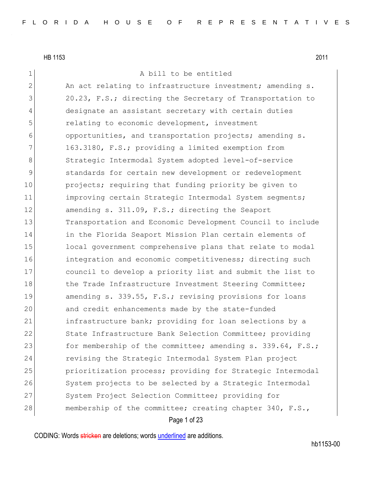# 1 A bill to be entitled

2 An act relating to infrastructure investment; amending s. 3 20.23, F.S.; directing the Secretary of Transportation to 4 designate an assistant secretary with certain duties 5 relating to economic development, investment 6 opportunities, and transportation projects; amending s.  $7$  163.3180, F.S.; providing a limited exemption from 8 Strategic Intermodal System adopted level-of-service 9 9 Standards for certain new development or redevelopment 10 projects; requiring that funding priority be given to 11 improving certain Strategic Intermodal System segments; 12 amending s. 311.09, F.S.; directing the Seaport 13 Transportation and Economic Development Council to include 14 in the Florida Seaport Mission Plan certain elements of 15 local government comprehensive plans that relate to modal 16 integration and economic competitiveness; directing such 17 council to develop a priority list and submit the list to 18 the Trade Infrastructure Investment Steering Committee; 19 amending s. 339.55, F.S.; revising provisions for loans 20 and credit enhancements made by the state-funded 21 infrastructure bank; providing for loan selections by a 22 State Infrastructure Bank Selection Committee; providing 23 for membership of the committee; amending s. 339.64, F.S.; 24 revising the Strategic Intermodal System Plan project 25 **prioritization process;** providing for Strategic Intermodal 26 System projects to be selected by a Strategic Intermodal 27 System Project Selection Committee; providing for 28 membership of the committee; creating chapter 340, F.S.,

### Page 1 of 23

CODING: Words stricken are deletions; words underlined are additions.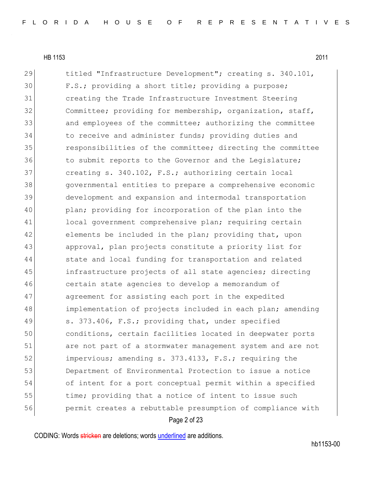29 titled "Infrastructure Development"; creating s. 340.101, 30 F.S.; providing a short title; providing a purpose; 31 creating the Trade Infrastructure Investment Steering 32 Committee; providing for membership, organization, staff, 33 and employees of the committee; authorizing the committee 34 to receive and administer funds; providing duties and 35 responsibilities of the committee; directing the committee 36 to submit reports to the Governor and the Legislature; 37 creating s. 340.102, F.S.; authorizing certain local 38 governmental entities to prepare a comprehensive economic 39 development and expansion and intermodal transportation 40 plan; providing for incorporation of the plan into the 41 local government comprehensive plan; requiring certain 42 elements be included in the plan; providing that, upon 43 approval, plan projects constitute a priority list for 44 state and local funding for transportation and related 45 infrastructure projects of all state agencies; directing 46 certain state agencies to develop a memorandum of 47 agreement for assisting each port in the expedited 48 implementation of projects included in each plan; amending 49 s. 373.406, F.S.; providing that, under specified 50 conditions, certain facilities located in deepwater ports 51 are not part of a stormwater management system and are not 52 impervious; amending s. 373.4133, F.S.; requiring the 53 Department of Environmental Protection to issue a notice 54 of intent for a port conceptual permit within a specified 55 time; providing that a notice of intent to issue such 56 permit creates a rebuttable presumption of compliance with

Page 2 of 23

CODING: Words stricken are deletions; words underlined are additions.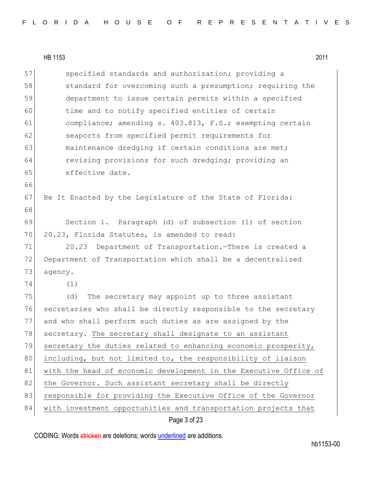57 specified standards and authorization; providing a 58 standard for overcoming such a presumption; requiring the 59 department to issue certain permits within a specified 60 time and to notify specified entities of certain 61 compliance; amending s. 403.813, F.S.; exempting certain 62 seaports from specified permit requirements for 63 maintenance dredging if certain conditions are met; 64 revising provisions for such dredging; providing an 65 effective date. 66 67 Be It Enacted by the Legislature of the State of Florida: 68 69 Section 1. Paragraph (d) of subsection (1) of section 70 20.23, Florida Statutes, is amended to read: 71 20.23 Department of Transportation.—There is created a 72 Department of Transportation which shall be a decentralized 73 agency. 74 (1) 75 (d) The secretary may appoint up to three assistant 76 secretaries who shall be directly responsible to the secretary 77 and who shall perform such duties as are assigned by the 78 secretary. The secretary shall designate to an assistant 79 secretary the duties related to enhancing economic prosperity, 80 including, but not limited to, the responsibility of liaison 81 with the head of economic development in the Executive Office of 82 the Governor. Such assistant secretary shall be directly 83 responsible for providing the Executive Office of the Governor 84 | with investment opportunities and transportation projects that

### Page 3 of 23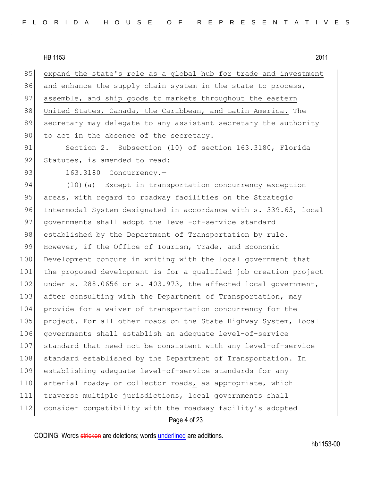85 expand the state's role as a global hub for trade and investment 86 and enhance the supply chain system in the state to process, 87 assemble, and ship goods to markets throughout the eastern 88 United States, Canada, the Caribbean, and Latin America. The 89 secretary may delegate to any assistant secretary the authority 90 to act in the absence of the secretary.

91 Section 2. Subsection (10) of section 163.3180, Florida 92 Statutes, is amended to read:

93 163.3180 Concurrency.-

94 (10)(a) Except in transportation concurrency exception 95 areas, with regard to roadway facilities on the Strategic 96 Intermodal System designated in accordance with s. 339.63, local 97 governments shall adopt the level-of-service standard 98 established by the Department of Transportation by rule. 99 However, if the Office of Tourism, Trade, and Economic 100 Development concurs in writing with the local government that 101 the proposed development is for a qualified job creation project 102 under s. 288.0656 or s. 403.973, the affected local government, 103 after consulting with the Department of Transportation, may 104 provide for a waiver of transportation concurrency for the 105 project. For all other roads on the State Highway System, local 106 governments shall establish an adequate level-of-service 107 standard that need not be consistent with any level-of-service 108 standard established by the Department of Transportation. In 109 establishing adequate level-of-service standards for any 110 arterial roads<sub> $\tau$ </sub> or collector roads, as appropriate, which 111 traverse multiple jurisdictions, local governments shall 112 consider compatibility with the roadway facility's adopted

Page 4 of 23

CODING: Words stricken are deletions; words underlined are additions.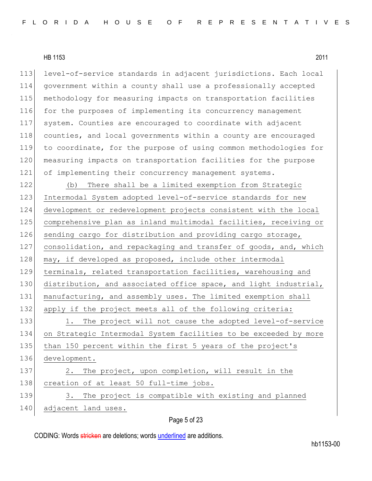113 level-of-service standards in adjacent jurisdictions. Each local government within a county shall use a professionally accepted methodology for measuring impacts on transportation facilities for the purposes of implementing its concurrency management system. Counties are encouraged to coordinate with adjacent counties, and local governments within a county are encouraged to coordinate, for the purpose of using common methodologies for 120 measuring impacts on transportation facilities for the purpose of implementing their concurrency management systems.

122 (b) There shall be a limited exemption from Strategic 123 Intermodal System adopted level-of-service standards for new 124 development or redevelopment projects consistent with the local 125 comprehensive plan as inland multimodal facilities, receiving or 126 sending cargo for distribution and providing cargo storage, 127 consolidation, and repackaging and transfer of goods, and, which 128 may, if developed as proposed, include other intermodal 129 terminals, related transportation facilities, warehousing and 130 distribution, and associated office space, and light industrial, 131 manufacturing, and assembly uses. The limited exemption shall 132 apply if the project meets all of the following criteria: 133 1. The project will not cause the adopted level-of-service 134 on Strategic Intermodal System facilities to be exceeded by more 135 than 150 percent within the first 5 years of the project's 136 development. 137 2. The project, upon completion, will result in the 138 creation of at least 50 full-time jobs. 139 3. The project is compatible with existing and planned 140 adjacent land uses.

### Page 5 of 23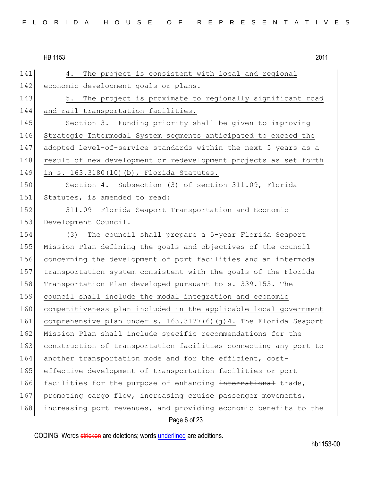Page 6 of 23 141 4. The project is consistent with local and regional 142 economic development goals or plans. 143 5. The project is proximate to regionally significant road 144 and rail transportation facilities. 145 Section 3. Funding priority shall be given to improving 146 Strategic Intermodal System segments anticipated to exceed the 147 adopted level-of-service standards within the next 5 years as a 148 result of new development or redevelopment projects as set forth 149 in s. 163.3180(10)(b), Florida Statutes. 150 Section 4. Subsection (3) of section 311.09, Florida 151 Statutes, is amended to read: 152 311.09 Florida Seaport Transportation and Economic 153 Development Council.-154 (3) The council shall prepare a 5-year Florida Seaport 155 Mission Plan defining the goals and objectives of the council 156 concerning the development of port facilities and an intermodal 157 transportation system consistent with the goals of the Florida 158 Transportation Plan developed pursuant to s. 339.155. The 159 council shall include the modal integration and economic 160 competitiveness plan included in the applicable local government 161 comprehensive plan under s. 163.3177(6)(j)4. The Florida Seaport 162 Mission Plan shall include specific recommendations for the 163 construction of transportation facilities connecting any port to 164 another transportation mode and for the efficient, cost-165 effective development of transportation facilities or port 166 facilities for the purpose of enhancing international trade, 167 promoting cargo flow, increasing cruise passenger movements, 168 increasing port revenues, and providing economic benefits to the

CODING: Words stricken are deletions; words underlined are additions.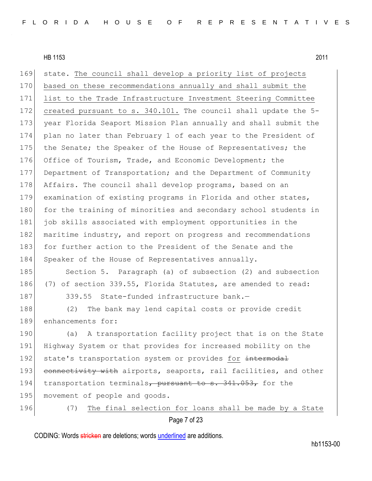169 state. The council shall develop a priority list of projects 170 based on these recommendations annually and shall submit the 171 list to the Trade Infrastructure Investment Steering Committee 172 created pursuant to s. 340.101. The council shall update the 5- 173 year Florida Seaport Mission Plan annually and shall submit the 174 plan no later than February 1 of each year to the President of 175 the Senate; the Speaker of the House of Representatives; the 176 Office of Tourism, Trade, and Economic Development; the 177 Department of Transportation; and the Department of Community 178 Affairs. The council shall develop programs, based on an 179 examination of existing programs in Florida and other states, 180 for the training of minorities and secondary school students in 181 job skills associated with employment opportunities in the 182 maritime industry, and report on progress and recommendations 183 for further action to the President of the Senate and the 184 Speaker of the House of Representatives annually. 185 Section 5. Paragraph (a) of subsection (2) and subsection 186 (7) of section 339.55, Florida Statutes, are amended to read: 187 339.55 State-funded infrastructure bank.— 188 (2) The bank may lend capital costs or provide credit 189 enhancements for: 190 (a) A transportation facility project that is on the State 191 Highway System or that provides for increased mobility on the 192 state's transportation system or provides for intermodal 193 connectivity with airports, seaports, rail facilities, and other

195 movement of people and goods.

196 (7) The final selection for loans shall be made by a State

```
Page 7 of 23
```
194 transportation terminals, pursuant to s. 341.053, for the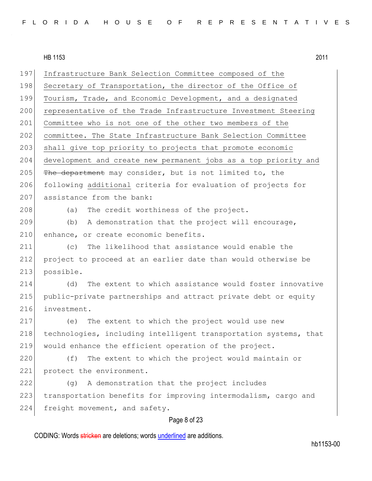| 197 | Infrastructure Bank Selection Committee composed of the          |
|-----|------------------------------------------------------------------|
| 198 | Secretary of Transportation, the director of the Office of       |
| 199 | Tourism, Trade, and Economic Development, and a designated       |
| 200 | representative of the Trade Infrastructure Investment Steering   |
| 201 | Committee who is not one of the other two members of the         |
| 202 | committee. The State Infrastructure Bank Selection Committee     |
| 203 | shall give top priority to projects that promote economic        |
| 204 | development and create new permanent jobs as a top priority and  |
| 205 | The department may consider, but is not limited to, the          |
| 206 | following additional criteria for evaluation of projects for     |
| 207 | assistance from the bank:                                        |
| 208 | The credit worthiness of the project.<br>(a)                     |
| 209 | A demonstration that the project will encourage,<br>(b)          |
| 210 | enhance, or create economic benefits.                            |
| 211 | The likelihood that assistance would enable the<br>(C)           |
| 212 | project to proceed at an earlier date than would otherwise be    |
| 213 | possible.                                                        |
| 214 | The extent to which assistance would foster innovative<br>(d)    |
| 215 | public-private partnerships and attract private debt or equity   |
| 216 | investment.                                                      |
| 217 | The extent to which the project would use new<br>(e)             |
| 218 | technologies, including intelligent transportation systems, that |
| 219 | would enhance the efficient operation of the project.            |
| 220 | The extent to which the project would maintain or<br>(f)         |
| 221 | protect the environment.                                         |
| 222 | A demonstration that the project includes<br>(q)                 |
| 223 | transportation benefits for improving intermodalism, cargo and   |
| 224 | freight movement, and safety.                                    |
|     | Page 8 of 23                                                     |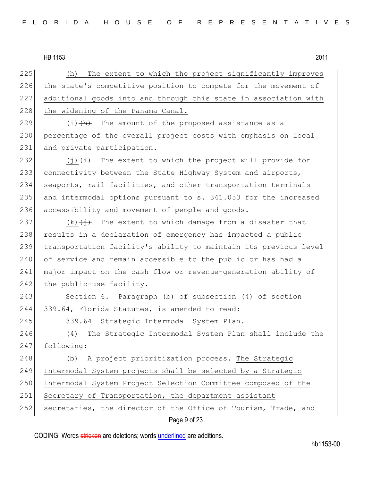225 (h) The extent to which the project significantly improves 226 the state's competitive position to compete for the movement of 227 additional goods into and through this state in association with 228 the widening of the Panama Canal.

229  $(i)$   $(h)$  The amount of the proposed assistance as a 230 percentage of the overall project costs with emphasis on local 231 and private participation.

232  $(j)$   $(i)$  The extent to which the project will provide for 233 connectivity between the State Highway System and airports, 234 seaports, rail facilities, and other transportation terminals 235 and intermodal options pursuant to s. 341.053 for the increased 236 accessibility and movement of people and goods.

237 (k) $(\frac{1}{2})$  The extent to which damage from a disaster that 238 results in a declaration of emergency has impacted a public 239 transportation facility's ability to maintain its previous level 240 of service and remain accessible to the public or has had a 241 major impact on the cash flow or revenue-generation ability of  $242$  the public-use facility.

243 Section 6. Paragraph (b) of subsection (4) of section 244 339.64, Florida Statutes, is amended to read:

245 339.64 Strategic Intermodal System Plan.—

246 (4) The Strategic Intermodal System Plan shall include the 247 following:

248 (b) A project prioritization process. The Strategic 249 Intermodal System projects shall be selected by a Strategic 250 Intermodal System Project Selection Committee composed of the 251 Secretary of Transportation, the department assistant 252 secretaries, the director of the Office of Tourism, Trade, and

# Page 9 of 23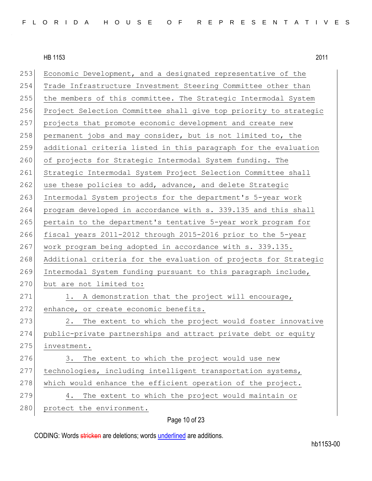| 253<br>Economic Development, and a designated representative of the     |
|-------------------------------------------------------------------------|
| Trade Infrastructure Investment Steering Committee other than           |
| the members of this committee. The Strategic Intermodal System          |
| 256<br>Project Selection Committee shall give top priority to strategic |
| projects that promote economic development and create new               |
| permanent jobs and may consider, but is not limited to, the             |
| 259<br>additional criteria listed in this paragraph for the evaluation  |
| of projects for Strategic Intermodal System funding. The                |
| Strategic Intermodal System Project Selection Committee shall           |
| use these policies to add, advance, and delete Strategic                |
| Intermodal System projects for the department's 5-year work             |
| program developed in accordance with s. 339.135 and this shall          |
| pertain to the department's tentative 5-year work program for           |
| fiscal years 2011-2012 through 2015-2016 prior to the 5-year            |
| work program being adopted in accordance with s. 339.135.               |
| Additional criteria for the evaluation of projects for Strategic        |
| Intermodal System funding pursuant to this paragraph include,           |
| but are not limited to:                                                 |
| 1. A demonstration that the project will encourage,                     |
| enhance, or create economic benefits.                                   |
| The extent to which the project would foster innovative<br>2.           |
| 274<br>public-private partnerships and attract private debt or equity   |
| investment.                                                             |
| The extent to which the project would use new<br>3.                     |
| technologies, including intelligent transportation systems,             |
| which would enhance the efficient operation of the project.             |
| The extent to which the project would maintain or<br>4.                 |
| protect the environment.                                                |
|                                                                         |

# Page 10 of 23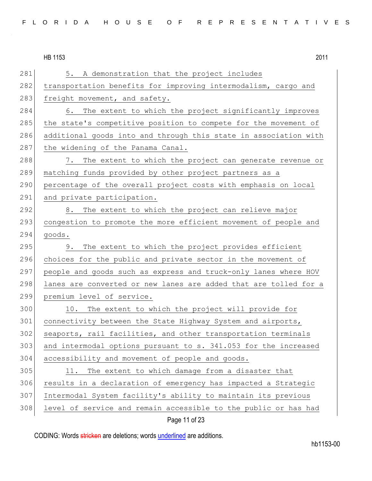281 5. A demonstration that the project includes 282 transportation benefits for improving intermodalism, cargo and 283 freight movement, and safety. 284 6. The extent to which the project significantly improves 285 the state's competitive position to compete for the movement of 286 additional goods into and through this state in association with 287 the widening of the Panama Canal. 288 7. The extent to which the project can generate revenue or 289 | matching funds provided by other project partners as a 290 percentage of the overall project costs with emphasis on local 291 and private participation. 292 8. The extent to which the project can relieve major 293 congestion to promote the more efficient movement of people and  $294$  goods. 295 9. The extent to which the project provides efficient 296 choices for the public and private sector in the movement of 297 people and goods such as express and truck-only lanes where HOV 298 lanes are converted or new lanes are added that are tolled for a 299 premium level of service. 300 10. The extent to which the project will provide for 301 connectivity between the State Highway System and airports, 302 seaports, rail facilities, and other transportation terminals 303 and intermodal options pursuant to s. 341.053 for the increased 304 accessibility and movement of people and goods. 305 11. The extent to which damage from a disaster that 306 results in a declaration of emergency has impacted a Strategic 307 Intermodal System facility's ability to maintain its previous 308 level of service and remain accessible to the public or has had

### Page 11 of 23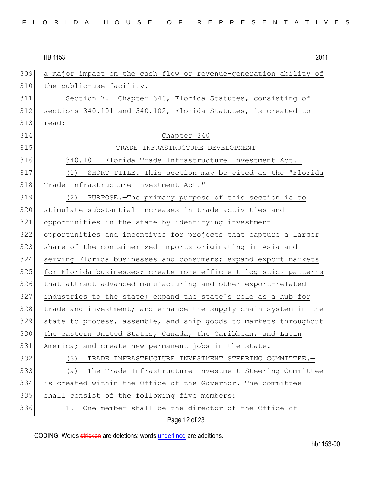|  |  |  |  |  |  | FLORIDA HOUSE OF REPRESENTATIVES |
|--|--|--|--|--|--|----------------------------------|
|--|--|--|--|--|--|----------------------------------|

|     | 2011<br>HB 1153                                                  |
|-----|------------------------------------------------------------------|
| 309 | a major impact on the cash flow or revenue-generation ability of |
| 310 | the public-use facility.                                         |
| 311 | Section 7. Chapter 340, Florida Statutes, consisting of          |
| 312 | sections 340.101 and 340.102, Florida Statutes, is created to    |
| 313 | read:                                                            |
| 314 | Chapter 340                                                      |
| 315 | TRADE INFRASTRUCTURE DEVELOPMENT                                 |
| 316 | 340.101 Florida Trade Infrastructure Investment Act.-            |
| 317 | SHORT TITLE. - This section may be cited as the "Florida<br>(1)  |
| 318 | Trade Infrastructure Investment Act."                            |
| 319 | PURPOSE. The primary purpose of this section is to<br>(2)        |
| 320 | stimulate substantial increases in trade activities and          |
| 321 | opportunities in the state by identifying investment             |
| 322 | opportunities and incentives for projects that capture a larger  |
| 323 | share of the containerized imports originating in Asia and       |
| 324 | serving Florida businesses and consumers; expand export markets  |
| 325 | for Florida businesses; create more efficient logistics patterns |
| 326 | that attract advanced manufacturing and other export-related     |
| 327 | industries to the state; expand the state's role as a hub for    |
| 328 | trade and investment; and enhance the supply chain system in the |
| 329 | state to process, assemble, and ship goods to markets throughout |
| 330 | the eastern United States, Canada, the Caribbean, and Latin      |
| 331 | America; and create new permanent jobs in the state.             |
| 332 | (3)<br>TRADE INFRASTRUCTURE INVESTMENT STEERING COMMITTEE.-      |
| 333 | The Trade Infrastructure Investment Steering Committee<br>(a)    |
| 334 | is created within the Office of the Governor. The committee      |
| 335 | shall consist of the following five members:                     |
| 336 | One member shall be the director of the Office of<br>ı.          |
|     | Page 12 of 23                                                    |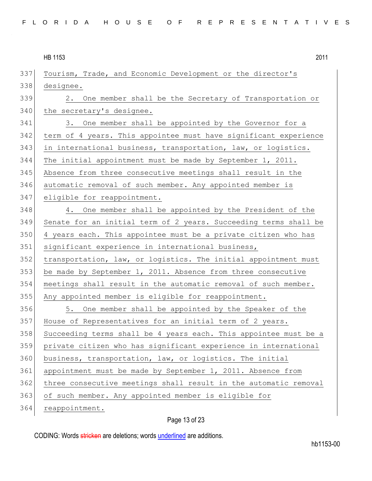| 2011 |
|------|
|      |

| 337 | Tourism, Trade, and Economic Development or the director's       |
|-----|------------------------------------------------------------------|
| 338 | designee.                                                        |
| 339 | 2. One member shall be the Secretary of Transportation or        |
| 340 | the secretary's designee.                                        |
| 341 | 3. One member shall be appointed by the Governor for a           |
| 342 | term of 4 years. This appointee must have significant experience |
| 343 | in international business, transportation, law, or logistics.    |
| 344 | The initial appointment must be made by September 1, 2011.       |
| 345 | Absence from three consecutive meetings shall result in the      |
| 346 | automatic removal of such member. Any appointed member is        |
| 347 | eligible for reappointment.                                      |
| 348 | 4. One member shall be appointed by the President of the         |
| 349 | Senate for an initial term of 2 years. Succeeding terms shall be |
| 350 | 4 years each. This appointee must be a private citizen who has   |
| 351 | significant experience in international business,                |
| 352 | transportation, law, or logistics. The initial appointment must  |
| 353 | be made by September 1, 2011. Absence from three consecutive     |
| 354 | meetings shall result in the automatic removal of such member.   |
| 355 | Any appointed member is eligible for reappointment.              |
| 356 | 5. One member shall be appointed by the Speaker of the           |
| 357 | House of Representatives for an initial term of 2 years.         |
| 358 | Succeeding terms shall be 4 years each. This appointee must be a |
| 359 | private citizen who has significant experience in international  |
| 360 | business, transportation, law, or logistics. The initial         |
| 361 | appointment must be made by September 1, 2011. Absence from      |
| 362 | three consecutive meetings shall result in the automatic removal |
| 363 | of such member. Any appointed member is eligible for             |
| 364 | reappointment.                                                   |

# Page 13 of 23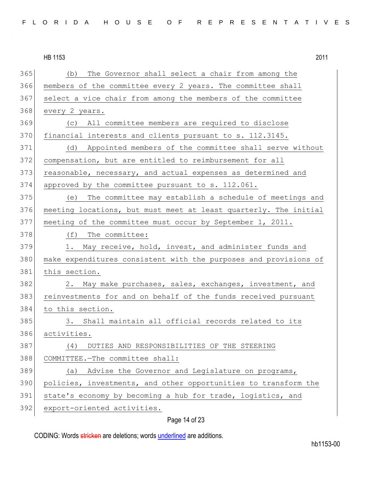(b) The Governor shall select a chair from among the members of the committee every 2 years. The committee shall select a vice chair from among the members of the committee every 2 years. (c) All committee members are required to disclose 370 financial interests and clients pursuant to s. 112.3145. (d) Appointed members of the committee shall serve without compensation, but are entitled to reimbursement for all reasonable, necessary, and actual expenses as determined and approved by the committee pursuant to s. 112.061. (e) The committee may establish a schedule of meetings and meeting locations, but must meet at least quarterly. The initial meeting of the committee must occur by September 1, 2011. 378 (f) The committee: 379 1. May receive, hold, invest, and administer funds and 380 make expenditures consistent with the purposes and provisions of this section. 382 2. May make purchases, sales, exchanges, investment, and 383 reinvestments for and on behalf of the funds received pursuant to this section. 385 3. Shall maintain all official records related to its activities. (4) DUTIES AND RESPONSIBILITIES OF THE STEERING COMMITTEE.—The committee shall: 389 (a) Advise the Governor and Legislature on programs, policies, investments, and other opportunities to transform the state's economy by becoming a hub for trade, logistics, and export-oriented activities.

# Page 14 of 23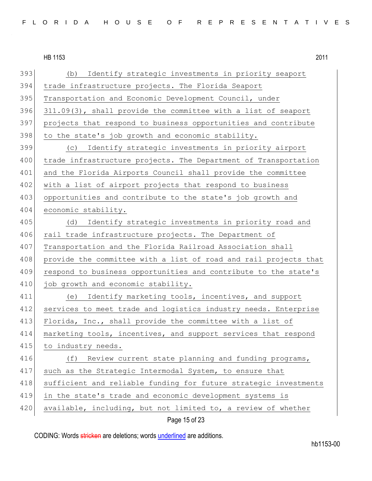393 (b) Identify strategic investments in priority seaport 394 trade infrastructure projects. The Florida Seaport 395 Transportation and Economic Development Council, under 396 311.09(3), shall provide the committee with a list of seaport 397 projects that respond to business opportunities and contribute  $398$  to the state's job growth and economic stability. 399 (c) Identify strategic investments in priority airport 400 trade infrastructure projects. The Department of Transportation 401 and the Florida Airports Council shall provide the committee 402 with a list of airport projects that respond to business 403 opportunities and contribute to the state's job growth and 404 economic stability. 405 (d) Identify strategic investments in priority road and 406 rail trade infrastructure projects. The Department of 407 Transportation and the Florida Railroad Association shall 408 provide the committee with a list of road and rail projects that 409 respond to business opportunities and contribute to the state's 410 job growth and economic stability. 411 (e) Identify marketing tools, incentives, and support 412 services to meet trade and logistics industry needs. Enterprise 413 Florida, Inc., shall provide the committee with a list of 414 marketing tools, incentives, and support services that respond 415 to industry needs. 416 (f) Review current state planning and funding programs, 417 such as the Strategic Intermodal System, to ensure that 418 sufficient and reliable funding for future strategic investments 419 in the state's trade and economic development systems is 420 available, including, but not limited to, a review of whether

Page 15 of 23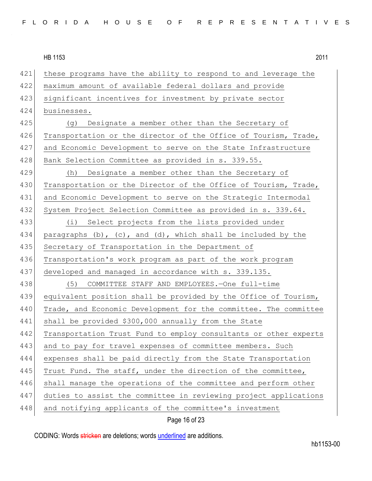421 these programs have the ability to respond to and leverage the 422 maximum amount of available federal dollars and provide 423 significant incentives for investment by private sector 424 businesses. 425 (g) Designate a member other than the Secretary of 426 Transportation or the director of the Office of Tourism, Trade, 427 and Economic Development to serve on the State Infrastructure 428 Bank Selection Committee as provided in s. 339.55. 429 (h) Designate a member other than the Secretary of 430 Transportation or the Director of the Office of Tourism, Trade, 431 and Economic Development to serve on the Strategic Intermodal 432 System Project Selection Committee as provided in s. 339.64. 433 (i) Select projects from the lists provided under 434 paragraphs (b), (c), and (d), which shall be included by the 435 Secretary of Transportation in the Department of 436 Transportation's work program as part of the work program 437 developed and managed in accordance with s. 339.135. 438 (5) COMMITTEE STAFF AND EMPLOYEES.—One full-time 439 equivalent position shall be provided by the Office of Tourism, 440 Trade, and Economic Development for the committee. The committee 441 shall be provided \$300,000 annually from the State 442 Transportation Trust Fund to employ consultants or other experts 443 and to pay for travel expenses of committee members. Such 444 expenses shall be paid directly from the State Transportation 445 Trust Fund. The staff, under the direction of the committee, 446 shall manage the operations of the committee and perform other 447 duties to assist the committee in reviewing project applications 448 and notifying applicants of the committee's investment

Page 16 of 23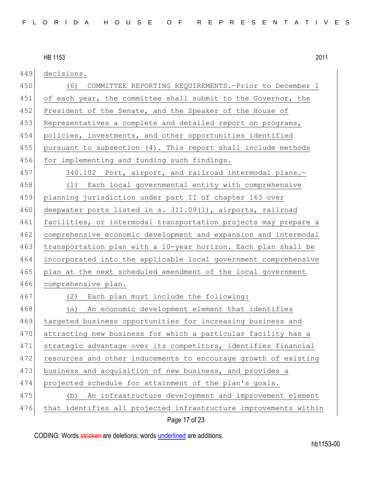449 decisions. 450 (6) COMMITTEE REPORTING REQUIREMENTS.—Prior to December 1 451 of each year, the committee shall submit to the Governor, the 452 President of the Senate, and the Speaker of the House of 453 Representatives a complete and detailed report on programs, 454 policies, investments, and other opportunities identified 455 pursuant to subsection (4). This report shall include methods 456 for implementing and funding such findings. 457 340.102 Port, airport, and railroad intermodal plans.-458 (1) Each local governmental entity with comprehensive 459 planning jurisdiction under part II of chapter 163 over 460 deepwater ports listed in s. 311.09(1), airports, railroad 461 facilities, or intermodal transportation projects may prepare a 462 comprehensive economic development and expansion and intermodal 463 transportation plan with a 10-year horizon. Each plan shall be 464 incorporated into the applicable local government comprehensive 465 plan at the next scheduled amendment of the local government 466 comprehensive plan. 467 (2) Each plan must include the following: 468 (a) An economic development element that identifies 469 targeted business opportunities for increasing business and 470 attracting new business for which a particular facility has a 471 strategic advantage over its competitors, identifies financial 472 resources and other inducements to encourage growth of existing 473 business and acquisition of new business, and provides a 474 projected schedule for attainment of the plan's goals. 475 (b) An infrastructure development and improvement element 476 that identifies all projected infrastructure improvements within

### Page 17 of 23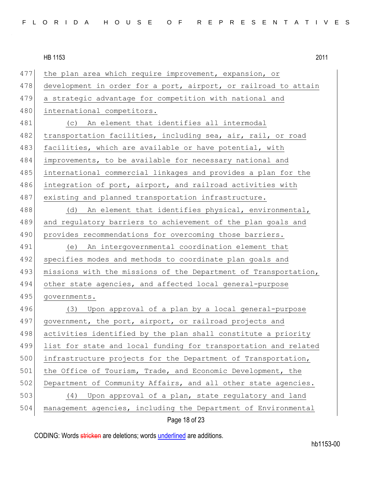477 the plan area which require improvement, expansion, or 478 development in order for a port, airport, or railroad to attain 479 a strategic advantage for competition with national and 480 international competitors. 481 (c) An element that identifies all intermodal 482 transportation facilities, including sea, air, rail, or road 483 facilities, which are available or have potential, with 484 improvements, to be available for necessary national and 485 international commercial linkages and provides a plan for the 486 integration of port, airport, and railroad activities with 487 existing and planned transportation infrastructure. 488 (d) An element that identifies physical, environmental, 489 and regulatory barriers to achievement of the plan goals and 490 provides recommendations for overcoming those barriers. 491 (e) An intergovernmental coordination element that 492 specifies modes and methods to coordinate plan goals and 493 missions with the missions of the Department of Transportation, 494 other state agencies, and affected local general-purpose 495 governments. 496 (3) Upon approval of a plan by a local general-purpose 497 government, the port, airport, or railroad projects and 498 activities identified by the plan shall constitute a priority 499 list for state and local funding for transportation and related 500 infrastructure projects for the Department of Transportation, 501 the Office of Tourism, Trade, and Economic Development, the 502 Department of Community Affairs, and all other state agencies. 503 (4) Upon approval of a plan, state regulatory and land 504 management agencies, including the Department of Environmental

Page 18 of 23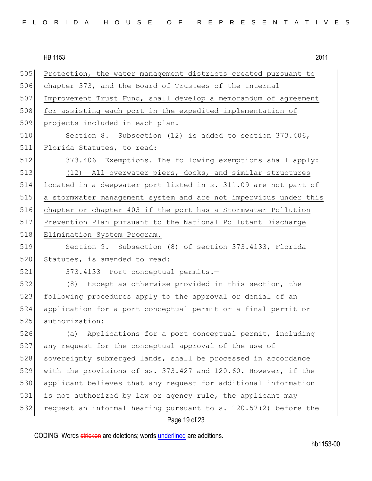|--|

505 Protection, the water management districts created pursuant to 506 chapter 373, and the Board of Trustees of the Internal 507 Improvement Trust Fund, shall develop a memorandum of agreement 508 for assisting each port in the expedited implementation of 509 projects included in each plan. 510 Section 8. Subsection (12) is added to section 373.406, 511 Florida Statutes, to read: 512 373.406 Exemptions.—The following exemptions shall apply: 513 (12) All overwater piers, docks, and similar structures 514 located in a deepwater port listed in s. 311.09 are not part of 515 a stormwater management system and are not impervious under this 516 chapter or chapter 403 if the port has a Stormwater Pollution 517 Prevention Plan pursuant to the National Pollutant Discharge 518 Elimination System Program. 519 Section 9. Subsection (8) of section 373.4133, Florida 520 Statutes, is amended to read: 521 373.4133 Port conceptual permits.-522 (8) Except as otherwise provided in this section, the 523 following procedures apply to the approval or denial of an 524 application for a port conceptual permit or a final permit or 525 authorization: 526 (a) Applications for a port conceptual permit, including 527 any request for the conceptual approval of the use of 528 sovereignty submerged lands, shall be processed in accordance 529 with the provisions of ss. 373.427 and 120.60. However, if the 530 applicant believes that any request for additional information

532 request an informal hearing pursuant to s.  $120.57(2)$  before the

531 is not authorized by law or agency rule, the applicant may

### Page 19 of 23

CODING: Words stricken are deletions; words underlined are additions.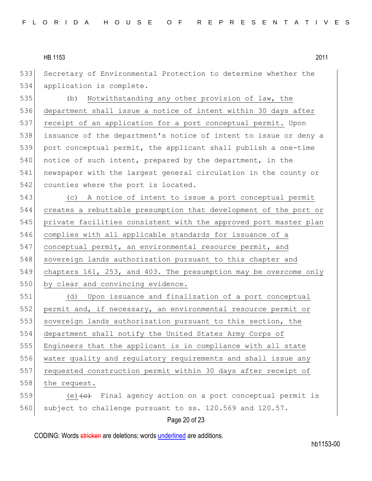533 Secretary of Environmental Protection to determine whether the 534 application is complete.

 (b) Notwithstanding any other provision of law, the department shall issue a notice of intent within 30 days after 537 receipt of an application for a port conceptual permit. Upon issuance of the department's notice of intent to issue or deny a port conceptual permit, the applicant shall publish a one-time notice of such intent, prepared by the department, in the newspaper with the largest general circulation in the county or 542 counties where the port is located.

543 (c) A notice of intent to issue a port conceptual permit 544 creates a rebuttable presumption that development of the port or 545 private facilities consistent with the approved port master plan 546 complies with all applicable standards for issuance of a 547 conceptual permit, an environmental resource permit, and 548 sovereign lands authorization pursuant to this chapter and 549 chapters 161, 253, and 403. The presumption may be overcome only 550 by clear and convincing evidence.

 (d) Upon issuance and finalization of a port conceptual permit and, if necessary, an environmental resource permit or 553 sovereign lands authorization pursuant to this section, the department shall notify the United States Army Corps of Engineers that the applicant is in compliance with all state water quality and regulatory requirements and shall issue any 557 requested construction permit within 30 days after receipt of 558 the request.  $(e)$  (e) Final agency action on a port conceptual permit is

560 subject to challenge pursuant to ss. 120.569 and 120.57.

# Page 20 of 23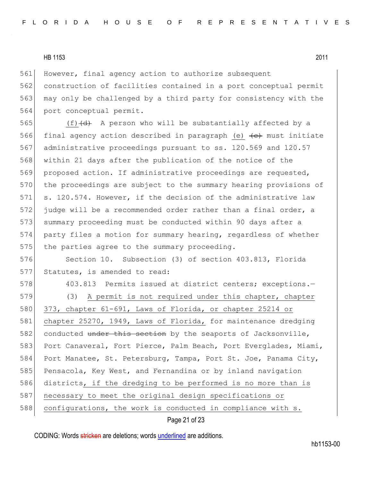561 However, final agency action to authorize subsequent 562 construction of facilities contained in a port conceptual permit 563 may only be challenged by a third party for consistency with the 564 port conceptual permit.

565  $(f)$  (f)  $(d)$  A person who will be substantially affected by a 566 final agency action described in paragraph (e)  $\left\{\epsilon\right\}$  must initiate 567 administrative proceedings pursuant to ss. 120.569 and 120.57 568 within 21 days after the publication of the notice of the 569 proposed action. If administrative proceedings are requested, 570 the proceedings are subject to the summary hearing provisions of 571 s. 120.574. However, if the decision of the administrative law 572 judge will be a recommended order rather than a final order, a 573 summary proceeding must be conducted within 90 days after a 574 party files a motion for summary hearing, regardless of whether 575 the parties agree to the summary proceeding.

576 Section 10. Subsection (3) of section 403.813, Florida 577 Statutes, is amended to read:

578 403.813 Permits issued at district centers; exceptions.-579 (3) A permit is not required under this chapter, chapter 580 373, chapter 61-691, Laws of Florida, or chapter 25214 or 581 chapter 25270, 1949, Laws of Florida, for maintenance dredging 582 conducted under this section by the seaports of Jacksonville, 583 Port Canaveral, Fort Pierce, Palm Beach, Port Everglades, Miami, 584 Port Manatee, St. Petersburg, Tampa, Port St. Joe, Panama City, 585 Pensacola, Key West, and Fernandina or by inland navigation 586 districts, if the dredging to be performed is no more than is 587 necessary to meet the original design specifications or 588 configurations, the work is conducted in compliance with s.

Page 21 of 23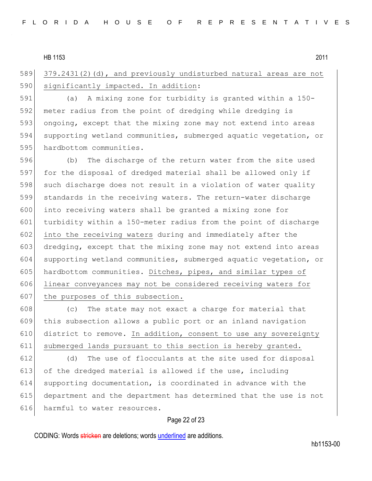589 379.2431(2)(d), and previously undisturbed natural areas are not 590 significantly impacted. In addition:

 (a) A mixing zone for turbidity is granted within a 150- meter radius from the point of dredging while dredging is ongoing, except that the mixing zone may not extend into areas supporting wetland communities, submerged aquatic vegetation, or 595 hardbottom communities.

596 (b) The discharge of the return water from the site used 597 for the disposal of dredged material shall be allowed only if 598 such discharge does not result in a violation of water quality 599 standards in the receiving waters. The return-water discharge 600 into receiving waters shall be granted a mixing zone for 601 turbidity within a 150-meter radius from the point of discharge 602 into the receiving waters during and immediately after the 603 dredging, except that the mixing zone may not extend into areas 604 supporting wetland communities, submerged aquatic vegetation, or 605 hardbottom communities. Ditches, pipes, and similar types of 606 linear conveyances may not be considered receiving waters for 607 the purposes of this subsection.

608 (c) The state may not exact a charge for material that this subsection allows a public port or an inland navigation district to remove. In addition, consent to use any sovereignty submerged lands pursuant to this section is hereby granted.

 (d) The use of flocculants at the site used for disposal 613 of the dredged material is allowed if the use, including supporting documentation, is coordinated in advance with the department and the department has determined that the use is not harmful to water resources.

### Page 22 of 23